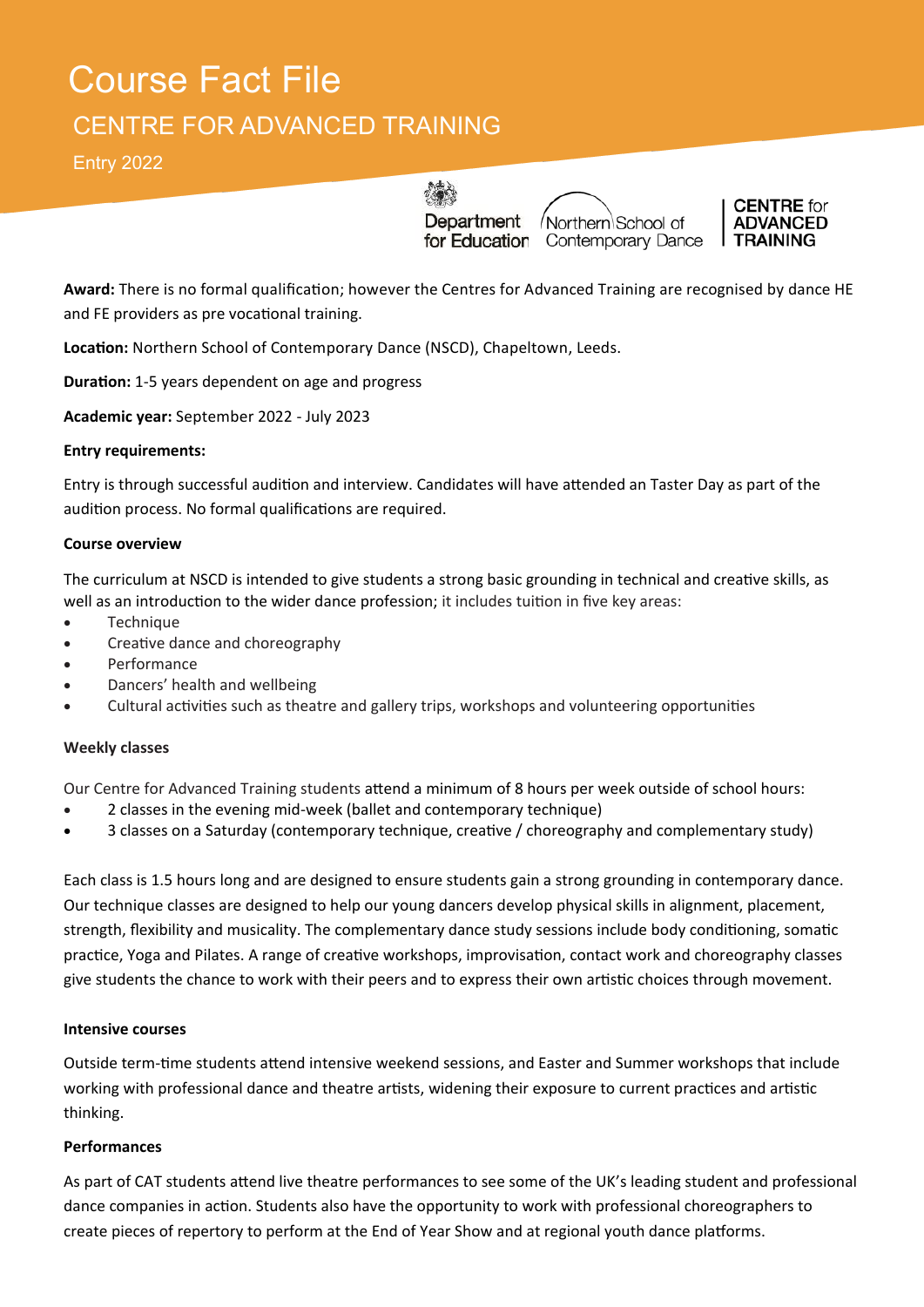# Course Fact File CENTRE FOR ADVANCED TRAINING

Entry 2022

40 Department

Northern School of for Education Contemporary Dance



**Award:** There is no formal qualification; however the Centres for Advanced Training are recognised by dance HE and FE providers as pre vocational training.

**Location:** Northern School of Contemporary Dance (NSCD), Chapeltown, Leeds.

**Duration:** 1-5 years dependent on age and progress

**Academic year:** September 2022 - July 2023

## **Entry requirements:**

Entry is through successful audition and interview. Candidates will have attended an Taster Day as part of the audition process. No formal qualifications are required.

## **Course overview**

The curriculum at NSCD is intended to give students a strong basic grounding in technical and creative skills, as well as an introduction to the wider dance profession; it includes tuition in five key areas:

- Technique
- Creative dance and choreography
- Performance
- Dancers' health and wellbeing
- Cultural activities such as theatre and gallery trips, workshops and volunteering opportunities

# **Weekly classes**

Our Centre for Advanced Training students attend a minimum of 8 hours per week outside of school hours:

- 2 classes in the evening mid-week (ballet and contemporary technique)
- 3 classes on a Saturday (contemporary technique, creative / choreography and complementary study)

Each class is 1.5 hours long and are designed to ensure students gain a strong grounding in contemporary dance. Our technique classes are designed to help our young dancers develop physical skills in alignment, placement, strength, flexibility and musicality. The complementary dance study sessions include body conditioning, somatic practice, Yoga and Pilates. A range of creative workshops, improvisation, contact work and choreography classes give students the chance to work with their peers and to express their own artistic choices through movement.

## **Intensive courses**

Outside term-time students attend intensive weekend sessions, and Easter and Summer workshops that include working with professional dance and theatre artists, widening their exposure to current practices and artistic thinking.

## **Performances**

As part of CAT students attend live theatre performances to see some of the UK's leading student and professional dance companies in action. Students also have the opportunity to work with professional choreographers to create pieces of repertory to perform at the End of Year Show and at regional youth dance platforms.